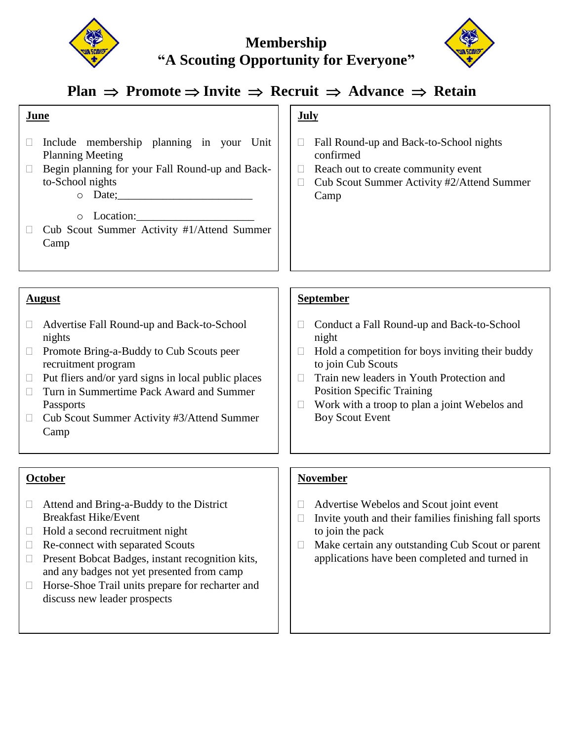



# $\text{Plan } \Rightarrow \text{ Promote } \Rightarrow \text{Invite } \Rightarrow \text{ Recruit } \Rightarrow \text{Advance } \Rightarrow \text{ Retain}$

| June                                                                                                                                                                                                                                                                                                                        | <b>July</b>                                                                                                                                                                                                                                                                                          |
|-----------------------------------------------------------------------------------------------------------------------------------------------------------------------------------------------------------------------------------------------------------------------------------------------------------------------------|------------------------------------------------------------------------------------------------------------------------------------------------------------------------------------------------------------------------------------------------------------------------------------------------------|
| Include membership planning in your Unit<br><b>Planning Meeting</b><br>Begin planning for your Fall Round-up and Back-<br>to-School nights<br>o Location:<br>Cub Scout Summer Activity #1/Attend Summer<br>Camp                                                                                                             | Fall Round-up and Back-to-School nights<br>$\Box$<br>confirmed<br>Reach out to create community event<br>$\Box$<br>Cub Scout Summer Activity #2/Attend Summer<br>$\Box$<br>Camp                                                                                                                      |
| <b>August</b>                                                                                                                                                                                                                                                                                                               | <b>September</b>                                                                                                                                                                                                                                                                                     |
| Advertise Fall Round-up and Back-to-School<br>nights<br>Promote Bring-a-Buddy to Cub Scouts peer<br>$\Box$<br>recruitment program<br>Put fliers and/or yard signs in local public places<br>$\Box$<br>Turn in Summertime Pack Award and Summer<br>$\Box$<br>Passports<br>Cub Scout Summer Activity #3/Attend Summer<br>Camp | Conduct a Fall Round-up and Back-to-School<br>$\Box$<br>night<br>Hold a competition for boys inviting their buddy<br>to join Cub Scouts<br>Train new leaders in Youth Protection and<br><b>Position Specific Training</b><br>Work with a troop to plan a joint Webelos and<br><b>Boy Scout Event</b> |
| <b>October</b>                                                                                                                                                                                                                                                                                                              | <b>November</b>                                                                                                                                                                                                                                                                                      |

- □ Attend and Bring-a-Buddy to the District Breakfast Hike/Event
- $\Box$  Hold a second recruitment night
- □ Re-connect with separated Scouts
- $\Box$  Present Bobcat Badges, instant recognition kits, and any badges not yet presented from camp
- $\Box$  Horse-Shoe Trail units prepare for recharter and discuss new leader prospects
- Advertise Webelos and Scout joint event
- $\Box$  Invite youth and their families finishing fall sports to join the pack
- $\Box$  Make certain any outstanding Cub Scout or parent applications have been completed and turned in